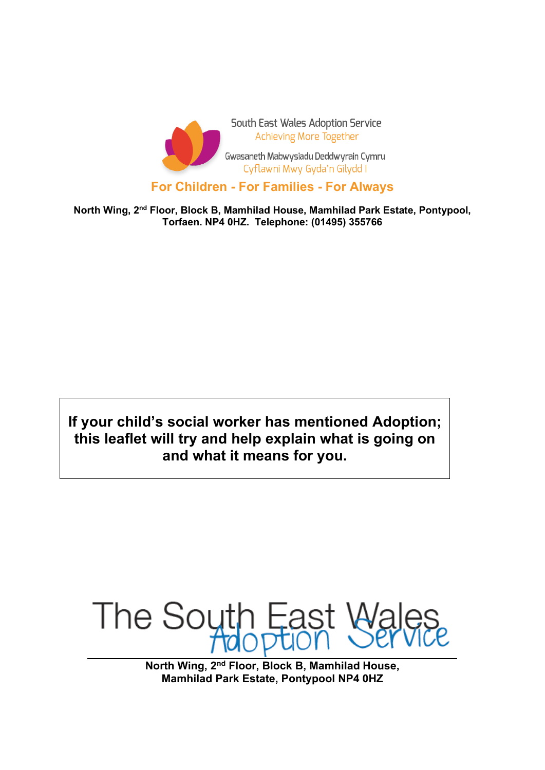

**North Wing, 2nd Floor, Block B, Mamhilad House, Mamhilad Park Estate, Pontypool, Torfaen. NP4 0HZ. Telephone: (01495) 355766**

**If your child's social worker has mentioned Adoption; this leaflet will try and help explain what is going on and what it means for you.**



**North Wing, 2nd Floor, Block B, Mamhilad House, Mamhilad Park Estate, Pontypool NP4 0HZ**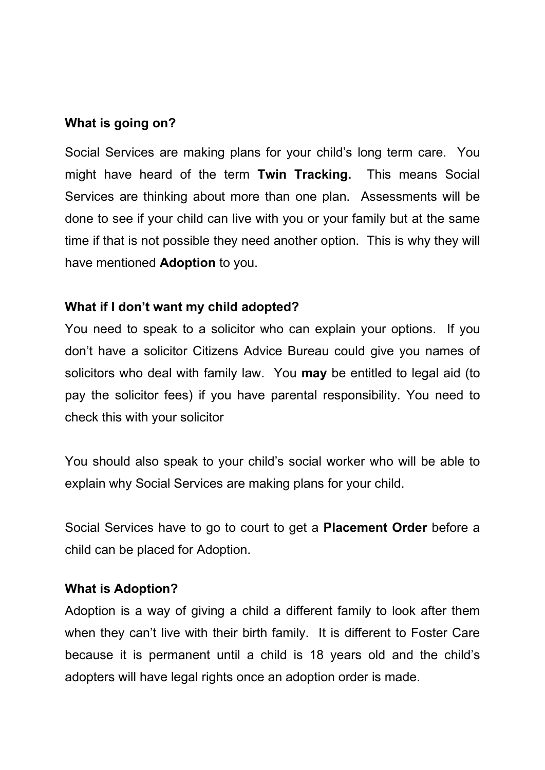## **What is going on?**

Social Services are making plans for your child's long term care. You might have heard of the term **Twin Tracking.** This means Social Services are thinking about more than one plan. Assessments will be done to see if your child can live with you or your family but at the same time if that is not possible they need another option. This is why they will have mentioned **Adoption** to you.

## **What if I don't want my child adopted?**

You need to speak to a solicitor who can explain your options. If you don't have a solicitor Citizens Advice Bureau could give you names of solicitors who deal with family law. You **may** be entitled to legal aid (to pay the solicitor fees) if you have parental responsibility. You need to check this with your solicitor

You should also speak to your child's social worker who will be able to explain why Social Services are making plans for your child.

Social Services have to go to court to get a **Placement Order** before a child can be placed for Adoption.

### **What is Adoption?**

Adoption is a way of giving a child a different family to look after them when they can't live with their birth family. It is different to Foster Care because it is permanent until a child is 18 years old and the child's adopters will have legal rights once an adoption order is made.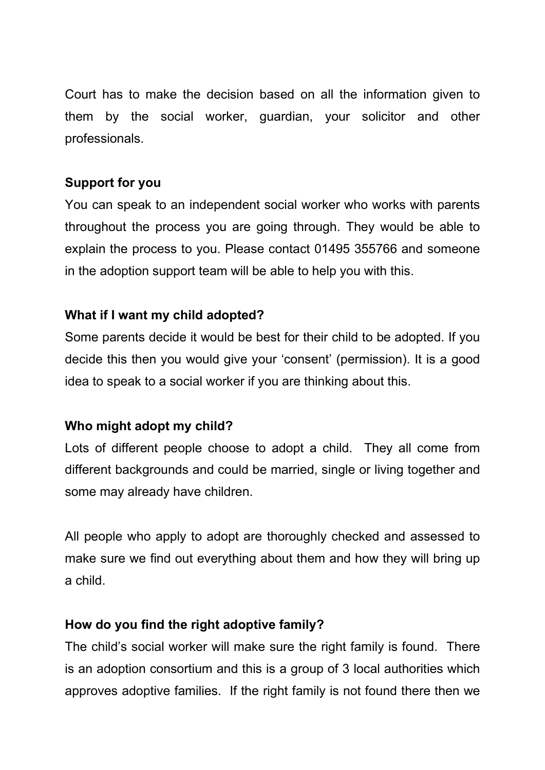Court has to make the decision based on all the information given to them by the social worker, guardian, your solicitor and other professionals.

## **Support for you**

You can speak to an independent social worker who works with parents throughout the process you are going through. They would be able to explain the process to you. Please contact 01495 355766 and someone in the adoption support team will be able to help you with this.

# **What if I want my child adopted?**

Some parents decide it would be best for their child to be adopted. If you decide this then you would give your 'consent' (permission). It is a good idea to speak to a social worker if you are thinking about this.

## **Who might adopt my child?**

Lots of different people choose to adopt a child. They all come from different backgrounds and could be married, single or living together and some may already have children.

All people who apply to adopt are thoroughly checked and assessed to make sure we find out everything about them and how they will bring up a child.

## **How do you find the right adoptive family?**

The child's social worker will make sure the right family is found. There is an adoption consortium and this is a group of 3 local authorities which approves adoptive families. If the right family is not found there then we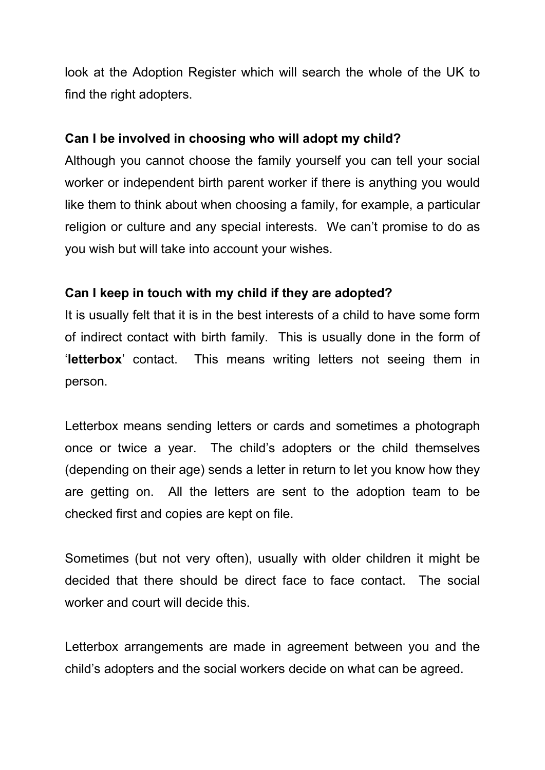look at the Adoption Register which will search the whole of the UK to find the right adopters.

## **Can I be involved in choosing who will adopt my child?**

Although you cannot choose the family yourself you can tell your social worker or independent birth parent worker if there is anything you would like them to think about when choosing a family, for example, a particular religion or culture and any special interests. We can't promise to do as you wish but will take into account your wishes.

## **Can I keep in touch with my child if they are adopted?**

It is usually felt that it is in the best interests of a child to have some form of indirect contact with birth family. This is usually done in the form of '**letterbox**' contact. This means writing letters not seeing them in person.

Letterbox means sending letters or cards and sometimes a photograph once or twice a year. The child's adopters or the child themselves (depending on their age) sends a letter in return to let you know how they are getting on. All the letters are sent to the adoption team to be checked first and copies are kept on file.

Sometimes (but not very often), usually with older children it might be decided that there should be direct face to face contact. The social worker and court will decide this.

Letterbox arrangements are made in agreement between you and the child's adopters and the social workers decide on what can be agreed.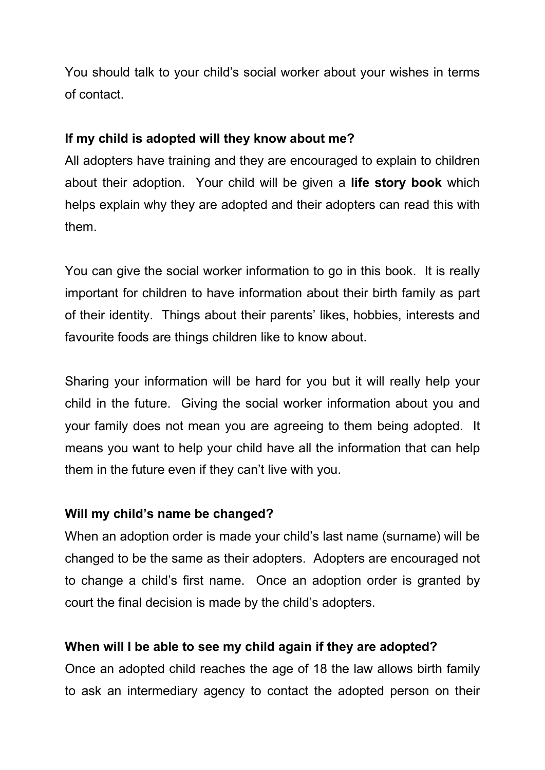You should talk to your child's social worker about your wishes in terms of contact.

# **If my child is adopted will they know about me?**

All adopters have training and they are encouraged to explain to children about their adoption. Your child will be given a **life story book** which helps explain why they are adopted and their adopters can read this with them.

You can give the social worker information to go in this book. It is really important for children to have information about their birth family as part of their identity. Things about their parents' likes, hobbies, interests and favourite foods are things children like to know about.

Sharing your information will be hard for you but it will really help your child in the future. Giving the social worker information about you and your family does not mean you are agreeing to them being adopted. It means you want to help your child have all the information that can help them in the future even if they can't live with you.

## **Will my child's name be changed?**

When an adoption order is made your child's last name (surname) will be changed to be the same as their adopters. Adopters are encouraged not to change a child's first name. Once an adoption order is granted by court the final decision is made by the child's adopters.

# **When will I be able to see my child again if they are adopted?**

Once an adopted child reaches the age of 18 the law allows birth family to ask an intermediary agency to contact the adopted person on their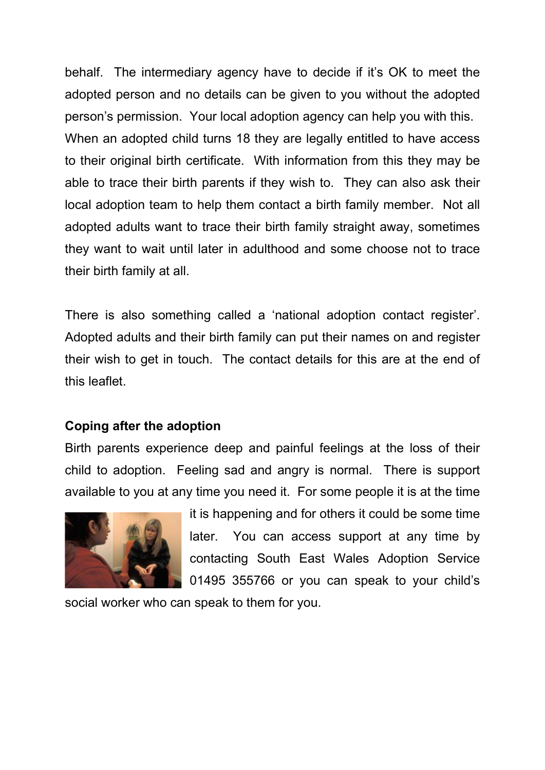behalf. The intermediary agency have to decide if it's OK to meet the adopted person and no details can be given to you without the adopted person's permission. Your local adoption agency can help you with this. When an adopted child turns 18 they are legally entitled to have access to their original birth certificate. With information from this they may be able to trace their birth parents if they wish to. They can also ask their local adoption team to help them contact a birth family member. Not all adopted adults want to trace their birth family straight away, sometimes they want to wait until later in adulthood and some choose not to trace their birth family at all.

There is also something called a 'national adoption contact register'. Adopted adults and their birth family can put their names on and register their wish to get in touch. The contact details for this are at the end of this leaflet.

## **Coping after the adoption**

Birth parents experience deep and painful feelings at the loss of their child to adoption. Feeling sad and angry is normal. There is support available to you at any time you need it. For some people it is at the time



it is happening and for others it could be some time later. You can access support at any time by contacting South East Wales Adoption Service 01495 355766 or you can speak to your child's

social worker who can speak to them for you.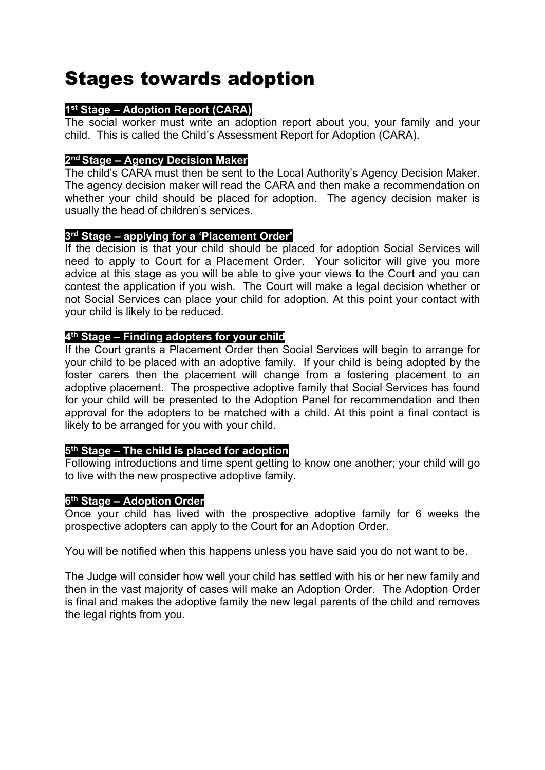# Stages towards adoption

### **1st Stage – Adoption Report (CARA)**

The social worker must write an adoption report about you, your family and your child. This is called the Child's Assessment Report for Adoption (CARA).

### **2nd Stage – Agency Decision Maker**

The child's CARA must then be sent to the Local Authority's Agency Decision Maker. The agency decision maker will read the CARA and then make a recommendation on whether your child should be placed for adoption. The agency decision maker is usually the head of children's services.

### **3rd Stage – applying for a 'Placement Order'**

If the decision is that your child should be placed for adoption Social Services will need to apply to Court for a Placement Order. Your solicitor will give you more advice at this stage as you will be able to give your views to the Court and you can contest the application if you wish. The Court will make a legal decision whether or not Social Services can place your child for adoption. At this point your contact with your child is likely to be reduced.

### **4th Stage – Finding adopters for your child**

If the Court grants a Placement Order then Social Services will begin to arrange for your child to be placed with an adoptive family. If your child is being adopted by the foster carers then the placement will change from a fostering placement to an adoptive placement. The prospective adoptive family that Social Services has found for your child will be presented to the Adoption Panel for recommendation and then approval for the adopters to be matched with a child. At this point a final contact is likely to be arranged for you with your child.

### **5th Stage – The child is placed for adoption**

Following introductions and time spent getting to know one another; your child will go to live with the new prospective adoptive family.

#### **6th Stage – Adoption Order**

Once your child has lived with the prospective adoptive family for 6 weeks the prospective adopters can apply to the Court for an Adoption Order.

You will be notified when this happens unless you have said you do not want to be.

The Judge will consider how well your child has settled with his or her new family and then in the vast majority of cases will make an Adoption Order. The Adoption Order is final and makes the adoptive family the new legal parents of the child and removes the legal rights from you.